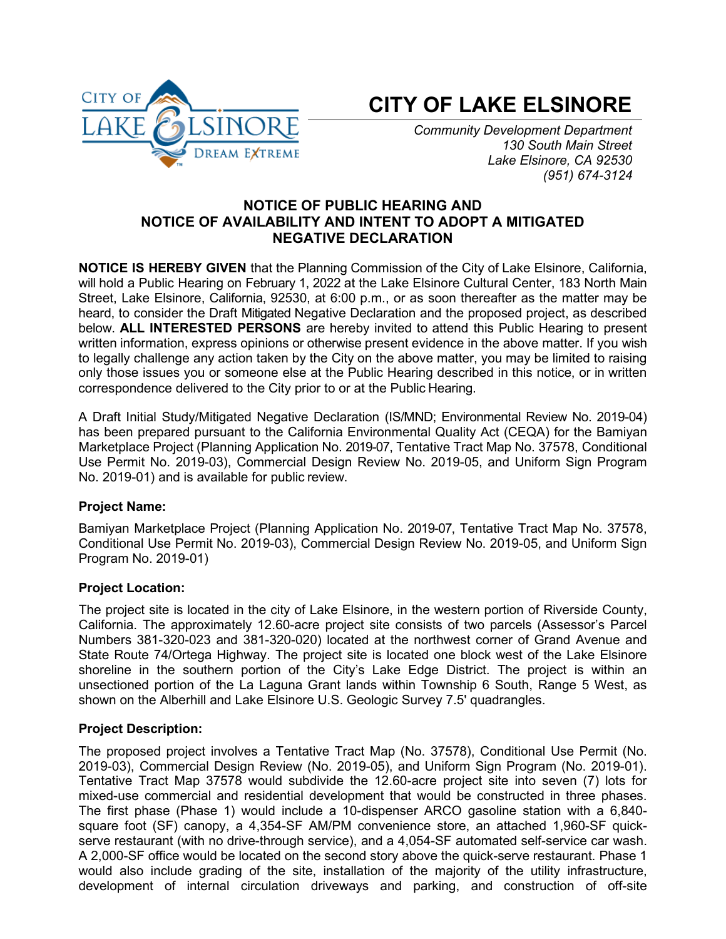

# **CITY OF LAKE ELSINORE**

*Community Development Department 130 South Main Street Lake Elsinore, CA 92530 (951) 674-3124*

# **NOTICE OF PUBLIC HEARING AND NOTICE OF AVAILABILITY AND INTENT TO ADOPT A MITIGATED NEGATIVE DECLARATION**

**NOTICE IS HEREBY GIVEN** that the Planning Commission of the City of Lake Elsinore, California, will hold a Public Hearing on February 1, 2022 at the Lake Elsinore Cultural Center, 183 North Main Street, Lake Elsinore, California, 92530, at 6:00 p.m., or as soon thereafter as the matter may be heard, to consider the Draft Mitigated Negative Declaration and the proposed project, as described below. **ALL INTERESTED PERSONS** are hereby invited to attend this Public Hearing to present written information, express opinions or otherwise present evidence in the above matter. If you wish to legally challenge any action taken by the City on the above matter, you may be limited to raising only those issues you or someone else at the Public Hearing described in this notice, or in written correspondence delivered to the City prior to or at the Public Hearing.

A Draft Initial Study/Mitigated Negative Declaration (IS/MND; Environmental Review No. 2019-04) has been prepared pursuant to the California Environmental Quality Act (CEQA) for the Bamiyan Marketplace Project (Planning Application No. 2019-07, Tentative Tract Map No. 37578, Conditional Use Permit No. 2019-03), Commercial Design Review No. 2019-05, and Uniform Sign Program No. 2019-01) and is available for public review.

## **Project Name:**

Bamiyan Marketplace Project (Planning Application No. 2019-07, Tentative Tract Map No. 37578, Conditional Use Permit No. 2019-03), Commercial Design Review No. 2019-05, and Uniform Sign Program No. 2019-01)

# **Project Location:**

The project site is located in the city of Lake Elsinore, in the western portion of Riverside County, California. The approximately 12.60-acre project site consists of two parcels (Assessor's Parcel Numbers 381-320-023 and 381-320-020) located at the northwest corner of Grand Avenue and State Route 74/Ortega Highway. The project site is located one block west of the Lake Elsinore shoreline in the southern portion of the City's Lake Edge District. The project is within an unsectioned portion of the La Laguna Grant lands within Township 6 South, Range 5 West, as shown on the Alberhill and Lake Elsinore U.S. Geologic Survey 7.5' quadrangles.

## **Project Description:**

The proposed project involves a Tentative Tract Map (No. 37578), Conditional Use Permit (No. 2019-03), Commercial Design Review (No. 2019-05), and Uniform Sign Program (No. 2019-01). Tentative Tract Map 37578 would subdivide the 12.60-acre project site into seven (7) lots for mixed-use commercial and residential development that would be constructed in three phases. The first phase (Phase 1) would include a 10-dispenser ARCO gasoline station with a 6,840 square foot (SF) canopy, a 4,354-SF AM/PM convenience store, an attached 1,960-SF quickserve restaurant (with no drive-through service), and a 4,054-SF automated self-service car wash. A 2,000-SF office would be located on the second story above the quick-serve restaurant. Phase 1 would also include grading of the site, installation of the majority of the utility infrastructure, development of internal circulation driveways and parking, and construction of off-site